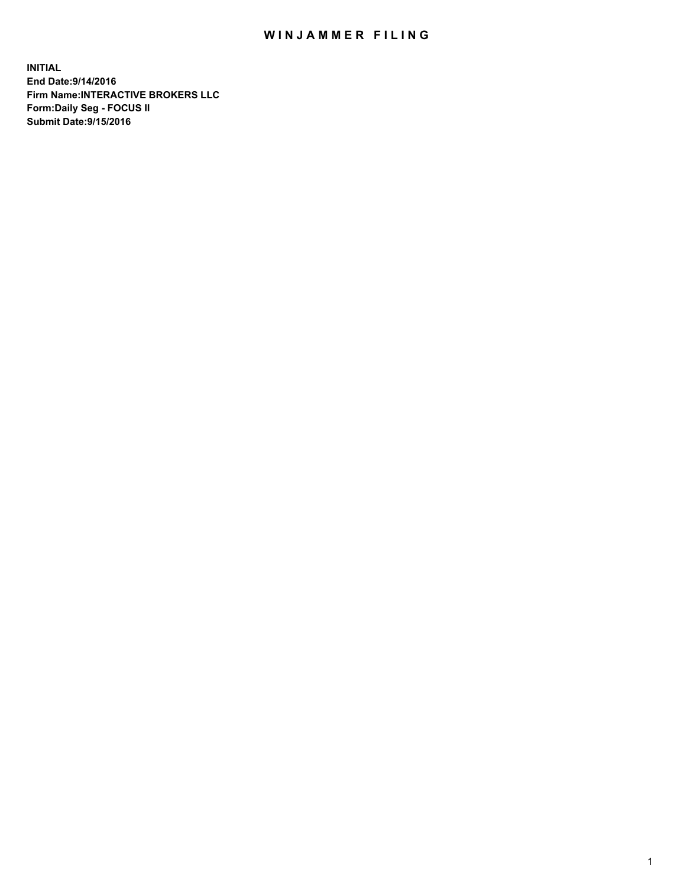## WIN JAMMER FILING

**INITIAL End Date:9/14/2016 Firm Name:INTERACTIVE BROKERS LLC Form:Daily Seg - FOCUS II Submit Date:9/15/2016**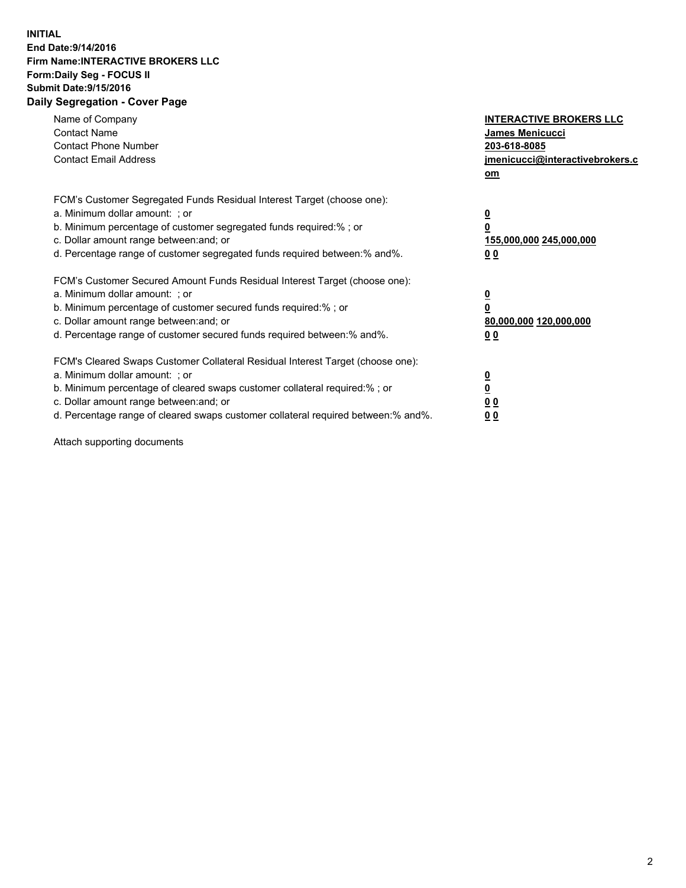## **INITIAL End Date:9/14/2016 Firm Name:INTERACTIVE BROKERS LLC Form:Daily Seg - FOCUS II Submit Date:9/15/2016 Daily Segregation - Cover Page**

| Name of Company<br><b>Contact Name</b><br><b>Contact Phone Number</b><br><b>Contact Email Address</b>                                                                                                                                                                                                                          | <b>INTERACTIVE BROKERS LLC</b><br><b>James Menicucci</b><br>203-618-8085<br>jmenicucci@interactivebrokers.c<br>om |
|--------------------------------------------------------------------------------------------------------------------------------------------------------------------------------------------------------------------------------------------------------------------------------------------------------------------------------|-------------------------------------------------------------------------------------------------------------------|
| FCM's Customer Segregated Funds Residual Interest Target (choose one):<br>a. Minimum dollar amount: ; or<br>b. Minimum percentage of customer segregated funds required:% ; or<br>c. Dollar amount range between: and; or<br>d. Percentage range of customer segregated funds required between: % and %.                       | $\overline{\mathbf{0}}$<br>0<br>155,000,000 245,000,000<br>00                                                     |
| FCM's Customer Secured Amount Funds Residual Interest Target (choose one):<br>a. Minimum dollar amount: ; or<br>b. Minimum percentage of customer secured funds required:%; or<br>c. Dollar amount range between: and; or<br>d. Percentage range of customer secured funds required between: % and %.                          | $\overline{\mathbf{0}}$<br>0<br>80,000,000 120,000,000<br>00                                                      |
| FCM's Cleared Swaps Customer Collateral Residual Interest Target (choose one):<br>a. Minimum dollar amount: ; or<br>b. Minimum percentage of cleared swaps customer collateral required:% ; or<br>c. Dollar amount range between: and; or<br>d. Percentage range of cleared swaps customer collateral required between:% and%. | $\overline{\mathbf{0}}$<br>$\overline{\mathbf{0}}$<br>00<br>0 <sub>0</sub>                                        |

Attach supporting documents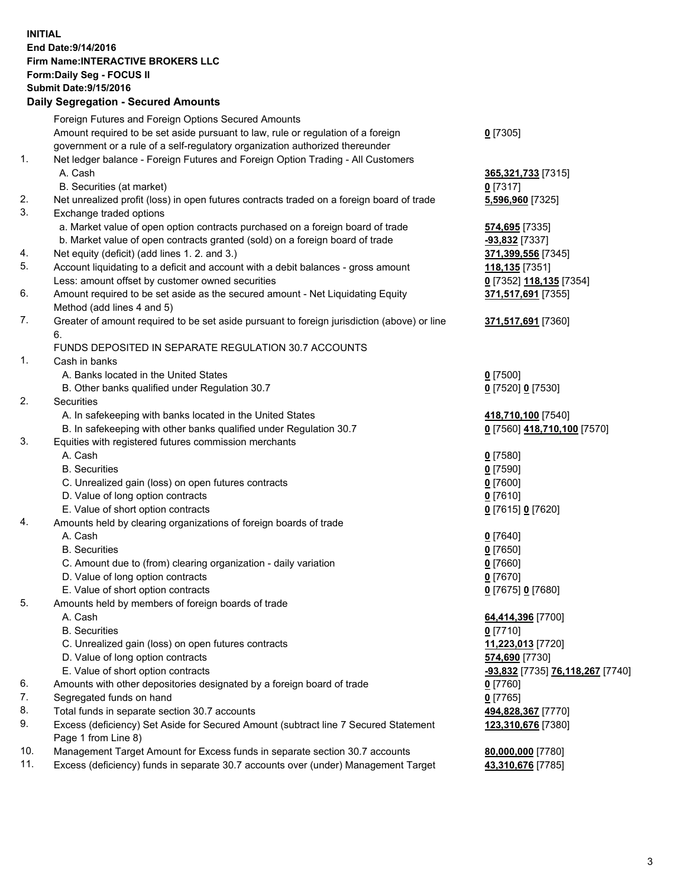## **INITIAL End Date:9/14/2016 Firm Name:INTERACTIVE BROKERS LLC Form:Daily Seg - FOCUS II Submit Date:9/15/2016 Daily Segregation - Secured Amounts**

|     | Daily Jegregation - Jeculed Aniounts                                                                       |                                  |
|-----|------------------------------------------------------------------------------------------------------------|----------------------------------|
|     | Foreign Futures and Foreign Options Secured Amounts                                                        |                                  |
|     | Amount required to be set aside pursuant to law, rule or regulation of a foreign                           | $0$ [7305]                       |
|     | government or a rule of a self-regulatory organization authorized thereunder                               |                                  |
| 1.  | Net ledger balance - Foreign Futures and Foreign Option Trading - All Customers                            |                                  |
|     | A. Cash                                                                                                    | 365,321,733 [7315]               |
|     | B. Securities (at market)                                                                                  | $0$ [7317]                       |
| 2.  | Net unrealized profit (loss) in open futures contracts traded on a foreign board of trade                  | 5,596,960 [7325]                 |
| 3.  | Exchange traded options                                                                                    |                                  |
|     | a. Market value of open option contracts purchased on a foreign board of trade                             | 574,695 [7335]                   |
|     | b. Market value of open contracts granted (sold) on a foreign board of trade                               | -93,832 [7337]                   |
| 4.  | Net equity (deficit) (add lines 1.2. and 3.)                                                               | 371,399,556 [7345]               |
| 5.  | Account liquidating to a deficit and account with a debit balances - gross amount                          | 118,135 [7351]                   |
|     | Less: amount offset by customer owned securities                                                           | 0 [7352] 118,135 [7354]          |
| 6.  | Amount required to be set aside as the secured amount - Net Liquidating Equity                             | 371,517,691 [7355]               |
|     | Method (add lines 4 and 5)                                                                                 |                                  |
| 7.  | Greater of amount required to be set aside pursuant to foreign jurisdiction (above) or line                | 371,517,691 [7360]               |
|     | 6.                                                                                                         |                                  |
|     | FUNDS DEPOSITED IN SEPARATE REGULATION 30.7 ACCOUNTS                                                       |                                  |
| 1.  | Cash in banks                                                                                              |                                  |
|     | A. Banks located in the United States                                                                      | $0$ [7500]                       |
|     | B. Other banks qualified under Regulation 30.7                                                             | 0 [7520] 0 [7530]                |
| 2.  | Securities                                                                                                 |                                  |
|     | A. In safekeeping with banks located in the United States                                                  | 418,710,100 [7540]               |
|     | B. In safekeeping with other banks qualified under Regulation 30.7                                         | 0 [7560] 418,710,100 [7570]      |
| 3.  | Equities with registered futures commission merchants                                                      |                                  |
|     | A. Cash                                                                                                    | $0$ [7580]                       |
|     | <b>B.</b> Securities                                                                                       | $0$ [7590]                       |
|     | C. Unrealized gain (loss) on open futures contracts                                                        | $0$ [7600]                       |
|     | D. Value of long option contracts                                                                          | $0$ [7610]                       |
|     | E. Value of short option contracts                                                                         | 0 [7615] 0 [7620]                |
| 4.  | Amounts held by clearing organizations of foreign boards of trade                                          |                                  |
|     | A. Cash                                                                                                    | $0$ [7640]                       |
|     | <b>B.</b> Securities                                                                                       | $0$ [7650]                       |
|     | C. Amount due to (from) clearing organization - daily variation                                            | $0$ [7660]                       |
|     | D. Value of long option contracts                                                                          | $0$ [7670]                       |
|     | E. Value of short option contracts                                                                         | 0 [7675] 0 [7680]                |
| 5.  | Amounts held by members of foreign boards of trade                                                         |                                  |
|     | A. Cash                                                                                                    | 64,414,396 [7700]                |
|     | <b>B.</b> Securities                                                                                       | $0$ [7710]                       |
|     | C. Unrealized gain (loss) on open futures contracts                                                        | 11,223,013 [7720]                |
|     | D. Value of long option contracts                                                                          | 574,690 [7730]                   |
|     | E. Value of short option contracts                                                                         | -93,832 [7735] 76,118,267 [7740] |
| 6.  | Amounts with other depositories designated by a foreign board of trade                                     | 0 [7760]                         |
| 7.  | Segregated funds on hand                                                                                   | $0$ [7765]                       |
| 8.  | Total funds in separate section 30.7 accounts                                                              | 494,828,367 [7770]               |
| 9.  | Excess (deficiency) Set Aside for Secured Amount (subtract line 7 Secured Statement<br>Page 1 from Line 8) | 123,310,676 [7380]               |
| 10. | Management Target Amount for Excess funds in separate section 30.7 accounts                                | 80,000,000 [7780]                |
| 11. | Excess (deficiency) funds in separate 30.7 accounts over (under) Management Target                         | 43,310,676 [7785]                |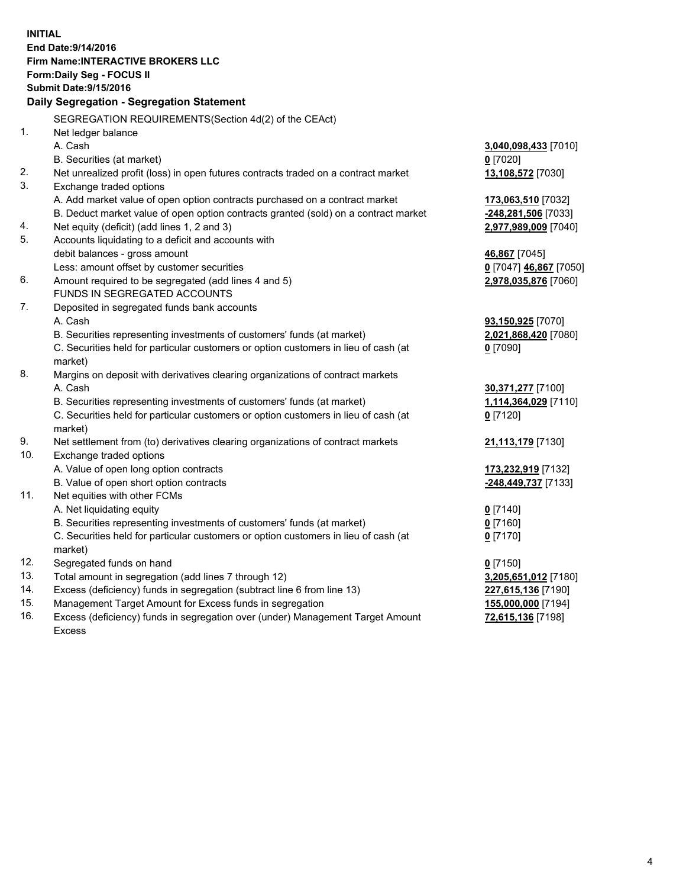**INITIAL End Date:9/14/2016 Firm Name:INTERACTIVE BROKERS LLC Form:Daily Seg - FOCUS II Submit Date:9/15/2016 Daily Segregation - Segregation Statement** SEGREGATION REQUIREMENTS(Section 4d(2) of the CEAct) 1. Net ledger balance A. Cash **3,040,098,433** [7010] B. Securities (at market) **0** [7020] 2. Net unrealized profit (loss) in open futures contracts traded on a contract market **13,108,572** [7030] 3. Exchange traded options A. Add market value of open option contracts purchased on a contract market **173,063,510** [7032] B. Deduct market value of open option contracts granted (sold) on a contract market **-248,281,506** [7033] 4. Net equity (deficit) (add lines 1, 2 and 3) **2,977,989,009** [7040] 5. Accounts liquidating to a deficit and accounts with debit balances - gross amount **46,867** [7045] Less: amount offset by customer securities **0** [7047] **46,867** [7050] 6. Amount required to be segregated (add lines 4 and 5) **2,978,035,876** [7060] FUNDS IN SEGREGATED ACCOUNTS 7. Deposited in segregated funds bank accounts A. Cash **93,150,925** [7070] B. Securities representing investments of customers' funds (at market) **2,021,868,420** [7080] C. Securities held for particular customers or option customers in lieu of cash (at market) **0** [7090] 8. Margins on deposit with derivatives clearing organizations of contract markets A. Cash **30,371,277** [7100] B. Securities representing investments of customers' funds (at market) **1,114,364,029** [7110] C. Securities held for particular customers or option customers in lieu of cash (at market) **0** [7120] 9. Net settlement from (to) derivatives clearing organizations of contract markets **21,113,179** [7130] 10. Exchange traded options A. Value of open long option contracts **173,232,919** [7132] B. Value of open short option contracts **-248,449,737** [7133] 11. Net equities with other FCMs A. Net liquidating equity **0** [7140] B. Securities representing investments of customers' funds (at market) **0** [7160] C. Securities held for particular customers or option customers in lieu of cash (at market) **0** [7170] 12. Segregated funds on hand **0** [7150] 13. Total amount in segregation (add lines 7 through 12) **3,205,651,012** [7180] 14. Excess (deficiency) funds in segregation (subtract line 6 from line 13) **227,615,136** [7190] 15. Management Target Amount for Excess funds in segregation **155,000,000** [7194] **72,615,136** [7198]

16. Excess (deficiency) funds in segregation over (under) Management Target Amount Excess